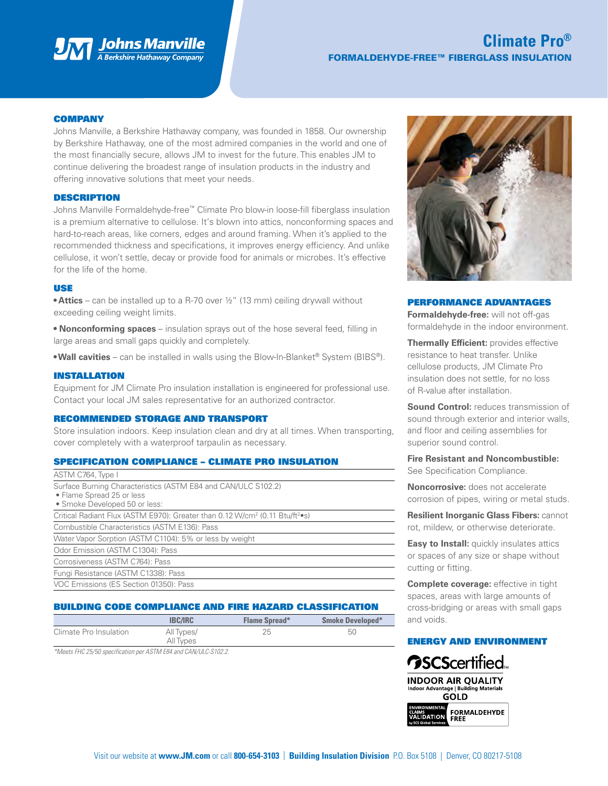

# **Climate Pro®** FORMALDEHYDE-FREE™ FIBERGLASS INSULATION

### **COMPANY**

Johns Manville, a Berkshire Hathaway company, was founded in 1858. Our ownership by Berkshire Hathaway, one of the most admired companies in the world and one of the most financially secure, allows JM to invest for the future. This enables JM to continue delivering the broadest range of insulation products in the industry and offering innovative solutions that meet your needs.

### DESCRIPTION

Johns Manville Formaldehyde-free™ Climate Pro blow-in loose-fill fiberglass insulation is a premium alternative to cellulose. It's blown into attics, nonconforming spaces and hard-to-reach areas, like corners, edges and around framing. When it's applied to the recommended thickness and specifications, it improves energy efficiency. And unlike cellulose, it won't settle, decay or provide food for animals or microbes. It's effective for the life of the home.

### USE

**• Attics** – can be installed up to a R-70 over ½" (13 mm) ceiling drywall without exceeding ceiling weight limits.

**• Nonconforming spaces** – insulation sprays out of the hose several feed, filling in large areas and small gaps quickly and completely.

**• Wall cavities** – can be installed in walls using the Blow-In-Blanket® System (BIBS®).

### INSTALLATION

Equipment for JM Climate Pro insulation installation is engineered for professional use. Contact your local JM sales representative for an authorized contractor.

#### RECOMMENDED STORAGE AND TRANSPORT

Store insulation indoors. Keep insulation clean and dry at all times. When transporting, cover completely with a waterproof tarpaulin as necessary.

### SPECIFICATION COMPLIANCE – CLIMATE PRO INSULATION

| ASTM C764, Type I                                                                                                           |
|-----------------------------------------------------------------------------------------------------------------------------|
| Surface Burning Characteristics (ASTM E84 and CAN/ULC S102.2)<br>• Flame Spread 25 or less<br>• Smoke Developed 50 or less: |
| Critical Radiant Flux (ASTM E970): Greater than 0.12 W/cm <sup>2</sup> (0.11 Btu/ft <sup>2</sup> •s)                        |
| Combustible Characteristics (ASTM E136): Pass                                                                               |
| Water Vapor Sorption (ASTM C1104): 5% or less by weight                                                                     |
| Odor Emission (ASTM C1304): Pass                                                                                            |
| Corrosiveness (ASTM C764): Pass                                                                                             |
| Fungi Resistance (ASTM C1338): Pass                                                                                         |
| VOC Emissions (ES Section 01350): Pass                                                                                      |

# BUILDING CODE COMPLIANCE AND FIRE HAZARD CLASSIFICATION

|                        | <b>IBC/IRC</b>          | <b>Flame Spread*</b> | <b>Smoke Developed*</b> |
|------------------------|-------------------------|----------------------|-------------------------|
| Climate Pro Insulation | All Types/<br>All Types |                      | 50                      |
| .<br>______            |                         |                      |                         |

*\*Meets FHC 25/50 specification per ASTM E84 and CAN/ULC-S102.2.*



### PERFORMANCE ADVANTAGES

**Formaldehyde-free:** will not off-gas formaldehyde in the indoor environment.

**Thermally Efficient:** provides effective resistance to heat transfer. Unlike cellulose products, JM Climate Pro insulation does not settle, for no loss of R-value after installation.

**Sound Control:** reduces transmission of sound through exterior and interior walls, and floor and ceiling assemblies for superior sound control.

**Fire Resistant and Noncombustible:** See Specification Compliance.

**Noncorrosive:** does not accelerate corrosion of pipes, wiring or metal studs.

**Resilient Inorganic Glass Fibers:** cannot rot, mildew, or otherwise deteriorate.

**Easy to Install:** quickly insulates attics or spaces of any size or shape without cutting or fitting.

**Complete coverage:** effective in tight spaces, areas with large amounts of cross-bridging or areas with small gaps and voids.

## ENERGY AND ENVIRONMENT